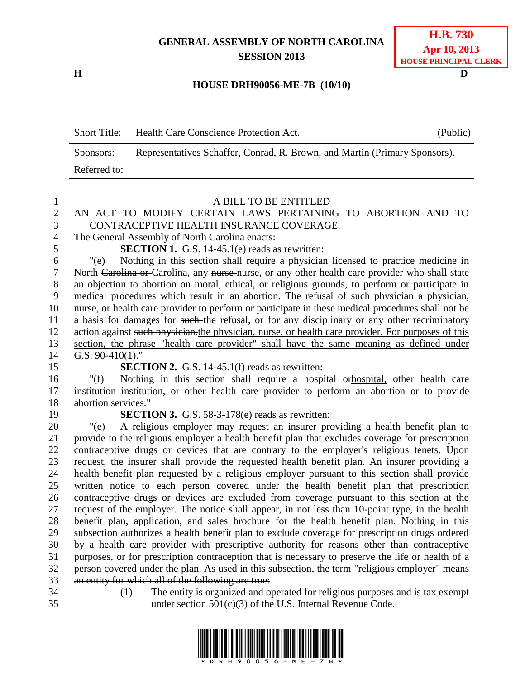## **GENERAL ASSEMBLY OF NORTH CAROLINA SESSION 2013**

**H D**

## **HOUSE DRH90056-ME-7B (10/10)**

Short Title: Health Care Conscience Protection Act. (Public) Sponsors: Representatives Schaffer, Conrad, R. Brown, and Martin (Primary Sponsors). Referred to:

| 1              | A BILL TO BE ENTITLED                                                                                                                                                                               |  |  |  |
|----------------|-----------------------------------------------------------------------------------------------------------------------------------------------------------------------------------------------------|--|--|--|
| $\overline{2}$ | AN ACT TO MODIFY CERTAIN LAWS PERTAINING TO ABORTION AND TO                                                                                                                                         |  |  |  |
| 3              | CONTRACEPTIVE HEALTH INSURANCE COVERAGE.                                                                                                                                                            |  |  |  |
| $\overline{4}$ | The General Assembly of North Carolina enacts:                                                                                                                                                      |  |  |  |
| 5              | <b>SECTION 1.</b> G.S. 14-45.1(e) reads as rewritten:                                                                                                                                               |  |  |  |
| 6              | Nothing in this section shall require a physician licensed to practice medicine in<br>"(e)                                                                                                          |  |  |  |
| $\tau$         | North Carolina or Carolina, any nurse-nurse, or any other health care provider who shall state                                                                                                      |  |  |  |
| $8\,$          | an objection to abortion on moral, ethical, or religious grounds, to perform or participate in                                                                                                      |  |  |  |
| 9              | medical procedures which result in an abortion. The refusal of such physician a physician,                                                                                                          |  |  |  |
| 10             | nurse, or health care provider to perform or participate in these medical procedures shall not be                                                                                                   |  |  |  |
| 11             | a basis for damages for such the refusal, or for any disciplinary or any other recriminatory                                                                                                        |  |  |  |
| 12             | action against such physician. the physician, nurse, or health care provider. For purposes of this                                                                                                  |  |  |  |
| 13             | section, the phrase "health care provider" shall have the same meaning as defined under                                                                                                             |  |  |  |
| 14             | G.S. $90-410(1)$ ."                                                                                                                                                                                 |  |  |  |
| 15             | <b>SECTION 2.</b> G.S. 14-45.1(f) reads as rewritten:                                                                                                                                               |  |  |  |
| 16             | Nothing in this section shall require a hospital orthospital, other health care<br>" $(f)$                                                                                                          |  |  |  |
| 17             | institution-institution, or other health care provider to perform an abortion or to provide                                                                                                         |  |  |  |
| 18             | abortion services."                                                                                                                                                                                 |  |  |  |
| 19             | <b>SECTION 3.</b> G.S. 58-3-178(e) reads as rewritten:                                                                                                                                              |  |  |  |
| 20             | A religious employer may request an insurer providing a health benefit plan to<br>"(e)                                                                                                              |  |  |  |
| 21             | provide to the religious employer a health benefit plan that excludes coverage for prescription                                                                                                     |  |  |  |
| 22             | contraceptive drugs or devices that are contrary to the employer's religious tenets. Upon                                                                                                           |  |  |  |
| 23             | request, the insurer shall provide the requested health benefit plan. An insurer providing a                                                                                                        |  |  |  |
| 24             | health benefit plan requested by a religious employer pursuant to this section shall provide                                                                                                        |  |  |  |
| 25             | written notice to each person covered under the health benefit plan that prescription                                                                                                               |  |  |  |
| 26             | contraceptive drugs or devices are excluded from coverage pursuant to this section at the                                                                                                           |  |  |  |
| 27             | request of the employer. The notice shall appear, in not less than 10-point type, in the health                                                                                                     |  |  |  |
| 28<br>29       | benefit plan, application, and sales brochure for the health benefit plan. Nothing in this                                                                                                          |  |  |  |
| 30             | subsection authorizes a health benefit plan to exclude coverage for prescription drugs ordered                                                                                                      |  |  |  |
| 31             | by a health care provider with prescriptive authority for reasons other than contraceptive                                                                                                          |  |  |  |
| 32             | purposes, or for prescription contraception that is necessary to preserve the life or health of a<br>person covered under the plan. As used in this subsection, the term "religious employer" means |  |  |  |
| 33             |                                                                                                                                                                                                     |  |  |  |
|                |                                                                                                                                                                                                     |  |  |  |
| 34             | an entity for which all of the following are true:<br>The entity is organized and operated for religious purposes and is tax exempt<br>$\leftrightarrow$                                            |  |  |  |